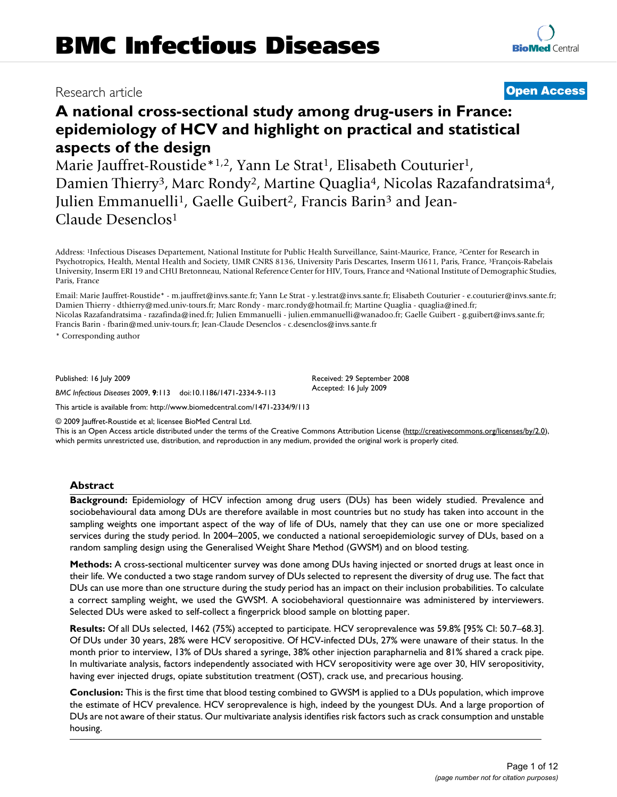# Research article **[Open Access](http://www.biomedcentral.com/info/about/charter/)**

## **A national cross-sectional study among drug-users in France: epidemiology of HCV and highlight on practical and statistical aspects of the design**

Marie Jauffret-Roustide\*<sup>1,2</sup>, Yann Le Strat<sup>1</sup>, Elisabeth Couturier<sup>1</sup>, Damien Thierry<sup>3</sup>, Marc Rondy<sup>2</sup>, Martine Quaglia<sup>4</sup>, Nicolas Razafandratsima<sup>4</sup>, Julien Emmanuelli<sup>1</sup>, Gaelle Guibert<sup>2</sup>, Francis Barin<sup>3</sup> and Jean-Claude Desenclos1

Address: 1Infectious Diseases Departement, National Institute for Public Health Surveillance, Saint-Maurice, France, 2Center for Research in Psychotropics, Health, Mental Health and Society, UMR CNRS 8136, University Paris Descartes, Inserm U611, Paris, France, 3François-Rabelais University, Inserm ERI 19 and CHU Bretonneau, National Reference Center for HIV, Tours, France and 4National Institute of Demographic Studies, Paris, France

Email: Marie Jauffret-Roustide\* - m.jauffret@invs.sante.fr; Yann Le Strat - y.lestrat@invs.sante.fr; Elisabeth Couturier - e.couturier@invs.sante.fr; Damien Thierry - dthierry@med.univ-tours.fr; Marc Rondy - marc.rondy@hotmail.fr; Martine Quaglia - quaglia@ined.fr; Nicolas Razafandratsima - razafinda@ined.fr; Julien Emmanuelli - julien.emmanuelli@wanadoo.fr; Gaelle Guibert - g.guibert@invs.sante.fr; Francis Barin - fbarin@med.univ-tours.fr; Jean-Claude Desenclos - c.desenclos@invs.sante.fr

\* Corresponding author

Published: 16 July 2009

Received: 29 September 2008 Accepted: 16 July 2009

*BMC Infectious Diseases* 2009, **9**:113 doi:10.1186/1471-2334-9-113

[This article is available from: http://www.biomedcentral.com/1471-2334/9/113](http://www.biomedcentral.com/1471-2334/9/113)

© 2009 Jauffret-Roustide et al; licensee BioMed Central Ltd.

This is an Open Access article distributed under the terms of the Creative Commons Attribution License [\(http://creativecommons.org/licenses/by/2.0\)](http://creativecommons.org/licenses/by/2.0), which permits unrestricted use, distribution, and reproduction in any medium, provided the original work is properly cited.

#### **Abstract**

**Background:** Epidemiology of HCV infection among drug users (DUs) has been widely studied. Prevalence and sociobehavioural data among DUs are therefore available in most countries but no study has taken into account in the sampling weights one important aspect of the way of life of DUs, namely that they can use one or more specialized services during the study period. In 2004–2005, we conducted a national seroepidemiologic survey of DUs, based on a random sampling design using the Generalised Weight Share Method (GWSM) and on blood testing.

**Methods:** A cross-sectional multicenter survey was done among DUs having injected or snorted drugs at least once in their life. We conducted a two stage random survey of DUs selected to represent the diversity of drug use. The fact that DUs can use more than one structure during the study period has an impact on their inclusion probabilities. To calculate a correct sampling weight, we used the GWSM. A sociobehavioral questionnaire was administered by interviewers. Selected DUs were asked to self-collect a fingerprick blood sample on blotting paper.

**Results:** Of all DUs selected, 1462 (75%) accepted to participate. HCV seroprevalence was 59.8% [95% CI: 50.7–68.3]. Of DUs under 30 years, 28% were HCV seropositive. Of HCV-infected DUs, 27% were unaware of their status. In the month prior to interview, 13% of DUs shared a syringe, 38% other injection parapharnelia and 81% shared a crack pipe. In multivariate analysis, factors independently associated with HCV seropositivity were age over 30, HIV seropositivity, having ever injected drugs, opiate substitution treatment (OST), crack use, and precarious housing.

**Conclusion:** This is the first time that blood testing combined to GWSM is applied to a DUs population, which improve the estimate of HCV prevalence. HCV seroprevalence is high, indeed by the youngest DUs. And a large proportion of DUs are not aware of their status. Our multivariate analysis identifies risk factors such as crack consumption and unstable housing.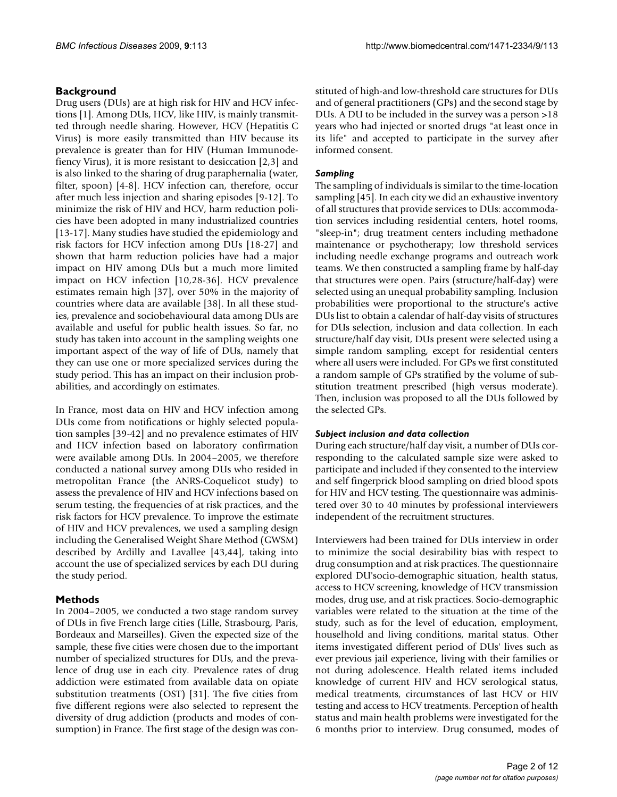#### **Background**

Drug users (DUs) are at high risk for HIV and HCV infections [1]. Among DUs, HCV, like HIV, is mainly transmitted through needle sharing. However, HCV (Hepatitis C Virus) is more easily transmitted than HIV because its prevalence is greater than for HIV (Human Immunodefiency Virus), it is more resistant to desiccation [2,3] and is also linked to the sharing of drug paraphernalia (water, filter, spoon) [4-8]. HCV infection can, therefore, occur after much less injection and sharing episodes [9-12]. To minimize the risk of HIV and HCV, harm reduction policies have been adopted in many industrialized countries [13-17]. Many studies have studied the epidemiology and risk factors for HCV infection among DUs [18-27] and shown that harm reduction policies have had a major impact on HIV among DUs but a much more limited impact on HCV infection [10,28-36]. HCV prevalence estimates remain high [37], over 50% in the majority of countries where data are available [38]. In all these studies, prevalence and sociobehavioural data among DUs are available and useful for public health issues. So far, no study has taken into account in the sampling weights one important aspect of the way of life of DUs, namely that they can use one or more specialized services during the study period. This has an impact on their inclusion probabilities, and accordingly on estimates.

In France, most data on HIV and HCV infection among DUs come from notifications or highly selected population samples [39-42] and no prevalence estimates of HIV and HCV infection based on laboratory confirmation were available among DUs. In 2004–2005, we therefore conducted a national survey among DUs who resided in metropolitan France (the ANRS-Coquelicot study) to assess the prevalence of HIV and HCV infections based on serum testing, the frequencies of at risk practices, and the risk factors for HCV prevalence. To improve the estimate of HIV and HCV prevalences, we used a sampling design including the Generalised Weight Share Method (GWSM) described by Ardilly and Lavallee [43,44], taking into account the use of specialized services by each DU during the study period.

#### **Methods**

In 2004–2005, we conducted a two stage random survey of DUs in five French large cities (Lille, Strasbourg, Paris, Bordeaux and Marseilles). Given the expected size of the sample, these five cities were chosen due to the important number of specialized structures for DUs, and the prevalence of drug use in each city. Prevalence rates of drug addiction were estimated from available data on opiate substitution treatments (OST) [31]. The five cities from five different regions were also selected to represent the diversity of drug addiction (products and modes of consumption) in France. The first stage of the design was constituted of high-and low-threshold care structures for DUs and of general practitioners (GPs) and the second stage by DUs. A DU to be included in the survey was a person >18 years who had injected or snorted drugs "at least once in its life" and accepted to participate in the survey after informed consent.

#### *Sampling*

The sampling of individuals is similar to the time-location sampling [45]. In each city we did an exhaustive inventory of all structures that provide services to DUs: accommodation services including residential centers, hotel rooms, "sleep-in"; drug treatment centers including methadone maintenance or psychotherapy; low threshold services including needle exchange programs and outreach work teams. We then constructed a sampling frame by half-day that structures were open. Pairs (structure/half-day) were selected using an unequal probability sampling. Inclusion probabilities were proportional to the structure's active DUs list to obtain a calendar of half-day visits of structures for DUs selection, inclusion and data collection. In each structure/half day visit, DUs present were selected using a simple random sampling, except for residential centers where all users were included. For GPs we first constituted a random sample of GPs stratified by the volume of substitution treatment prescribed (high versus moderate). Then, inclusion was proposed to all the DUs followed by the selected GPs.

#### *Subject inclusion and data collection*

During each structure/half day visit, a number of DUs corresponding to the calculated sample size were asked to participate and included if they consented to the interview and self fingerprick blood sampling on dried blood spots for HIV and HCV testing. The questionnaire was administered over 30 to 40 minutes by professional interviewers independent of the recruitment structures.

Interviewers had been trained for DUs interview in order to minimize the social desirability bias with respect to drug consumption and at risk practices. The questionnaire explored DU'socio-demographic situation, health status, access to HCV screening, knowledge of HCV transmission modes, drug use, and at risk practices. Socio-demographic variables were related to the situation at the time of the study, such as for the level of education, employment, houselhold and living conditions, marital status. Other items investigated different period of DUs' lives such as ever previous jail experience, living with their families or not during adolescence. Health related items included knowledge of current HIV and HCV serological status, medical treatments, circumstances of last HCV or HIV testing and access to HCV treatments. Perception of health status and main health problems were investigated for the 6 months prior to interview. Drug consumed, modes of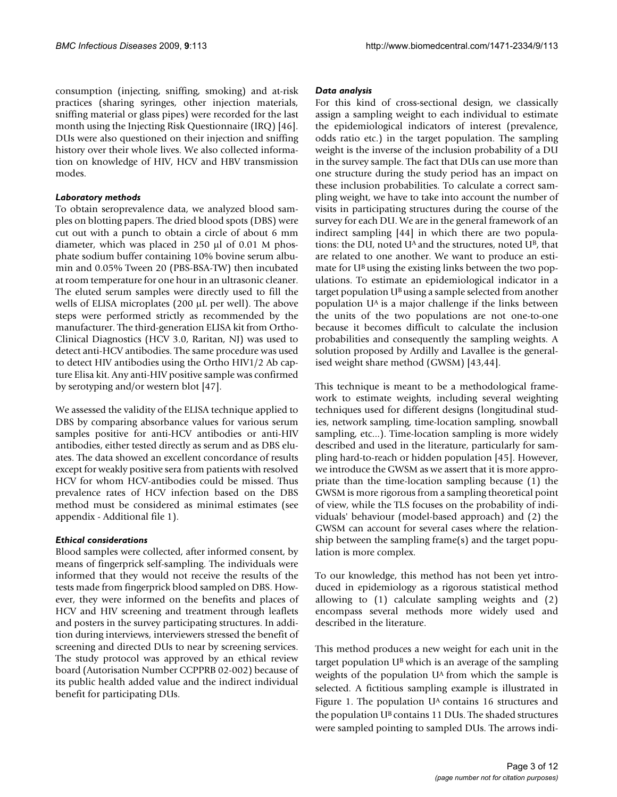consumption (injecting, sniffing, smoking) and at-risk practices (sharing syringes, other injection materials, sniffing material or glass pipes) were recorded for the last month using the Injecting Risk Questionnaire (IRQ) [46]. DUs were also questioned on their injection and sniffing history over their whole lives. We also collected information on knowledge of HIV, HCV and HBV transmission modes.

#### *Laboratory methods*

To obtain seroprevalence data, we analyzed blood samples on blotting papers. The dried blood spots (DBS) were cut out with a punch to obtain a circle of about 6 mm diameter, which was placed in 250 μl of 0.01 M phosphate sodium buffer containing 10% bovine serum albumin and 0.05% Tween 20 (PBS-BSA-TW) then incubated at room temperature for one hour in an ultrasonic cleaner. The eluted serum samples were directly used to fill the wells of ELISA microplates (200 μL per well). The above steps were performed strictly as recommended by the manufacturer. The third-generation ELISA kit from Ortho-Clinical Diagnostics (HCV 3.0, Raritan, NJ) was used to detect anti-HCV antibodies. The same procedure was used to detect HIV antibodies using the Ortho HIV1/2 Ab capture Elisa kit. Any anti-HIV positive sample was confirmed by serotyping and/or western blot [47].

We assessed the validity of the ELISA technique applied to DBS by comparing absorbance values for various serum samples positive for anti-HCV antibodies or anti-HIV antibodies, either tested directly as serum and as DBS eluates. The data showed an excellent concordance of results except for weakly positive sera from patients with resolved HCV for whom HCV-antibodies could be missed. Thus prevalence rates of HCV infection based on the DBS method must be considered as minimal estimates (see appendix - Additional file 1).

#### *Ethical considerations*

Blood samples were collected, after informed consent, by means of fingerprick self-sampling. The individuals were informed that they would not receive the results of the tests made from fingerprick blood sampled on DBS. However, they were informed on the benefits and places of HCV and HIV screening and treatment through leaflets and posters in the survey participating structures. In addition during interviews, interviewers stressed the benefit of screening and directed DUs to near by screening services. The study protocol was approved by an ethical review board (Autorisation Number CCPPRB 02-002) because of its public health added value and the indirect individual benefit for participating DUs.

#### *Data analysis*

For this kind of cross-sectional design, we classically assign a sampling weight to each individual to estimate the epidemiological indicators of interest (prevalence, odds ratio etc.) in the target population. The sampling weight is the inverse of the inclusion probability of a DU in the survey sample. The fact that DUs can use more than one structure during the study period has an impact on these inclusion probabilities. To calculate a correct sampling weight, we have to take into account the number of visits in participating structures during the course of the survey for each DU. We are in the general framework of an indirect sampling [44] in which there are two populations: the DU, noted U<sup>A</sup> and the structures, noted U<sup>B</sup>, that are related to one another. We want to produce an estimate for U<sup>B</sup> using the existing links between the two populations. To estimate an epidemiological indicator in a target population  $U^B$  using a sample selected from another population UA is a major challenge if the links between the units of the two populations are not one-to-one because it becomes difficult to calculate the inclusion probabilities and consequently the sampling weights. A solution proposed by Ardilly and Lavallee is the generalised weight share method (GWSM) [43,44].

This technique is meant to be a methodological framework to estimate weights, including several weighting techniques used for different designs (longitudinal studies, network sampling, time-location sampling, snowball sampling, etc...). Time-location sampling is more widely described and used in the literature, particularly for sampling hard-to-reach or hidden population [45]. However, we introduce the GWSM as we assert that it is more appropriate than the time-location sampling because (1) the GWSM is more rigorous from a sampling theoretical point of view, while the TLS focuses on the probability of individuals' behaviour (model-based approach) and (2) the GWSM can account for several cases where the relationship between the sampling frame(s) and the target population is more complex.

To our knowledge, this method has not been yet introduced in epidemiology as a rigorous statistical method allowing to (1) calculate sampling weights and (2) encompass several methods more widely used and described in the literature.

This method produces a new weight for each unit in the target population  $U^B$  which is an average of the sampling weights of the population U<sup>A</sup> from which the sample is selected. A fictitious sampling example is illustrated in Figure 1. The population U<sup>A</sup> contains 16 structures and the population U<sup>B</sup> contains 11 DUs. The shaded structures were sampled pointing to sampled DUs. The arrows indi-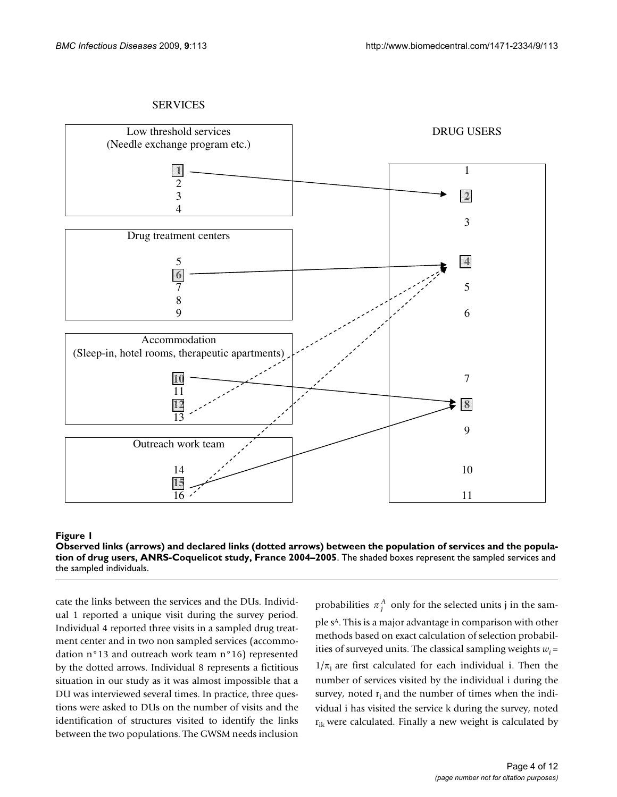#### SERVICES



#### Observed links (arrows) and declared links (dotted arrows) betw users, ANRS-Coquelicot study, France 2004–2005 **Figure 1** een the population of services and the population of drug

**Observed links (arrows) and declared links (dotted arrows) between the population of services and the population of drug users, ANRS-Coquelicot study, France 2004–2005**. The shaded boxes represent the sampled services and the sampled individuals.

cate the links between the services and the DUs. Individual 1 reported a unique visit during the survey period. Individual 4 reported three visits in a sampled drug treatment center and in two non sampled services (accommodation n°13 and outreach work team n°16) represented by the dotted arrows. Individual 8 represents a fictitious situation in our study as it was almost impossible that a DU was interviewed several times. In practice, three questions were asked to DUs on the number of visits and the identification of structures visited to identify the links between the two populations. The GWSM needs inclusion

probabilities  $\pi_j^A$  only for the selected units j in the sample sA. This is a major advantage in comparison with other methods based on exact calculation of selection probabilities of surveyed units. The classical sampling weights  $w_i =$  $1/\pi$  are first calculated for each individual i. Then the number of services visited by the individual i during the survey, noted  $r_i$  and the number of times when the individual i has visited the service k during the survey, noted  $r_{ik}$  were calculated. Finally a new weight is calculated by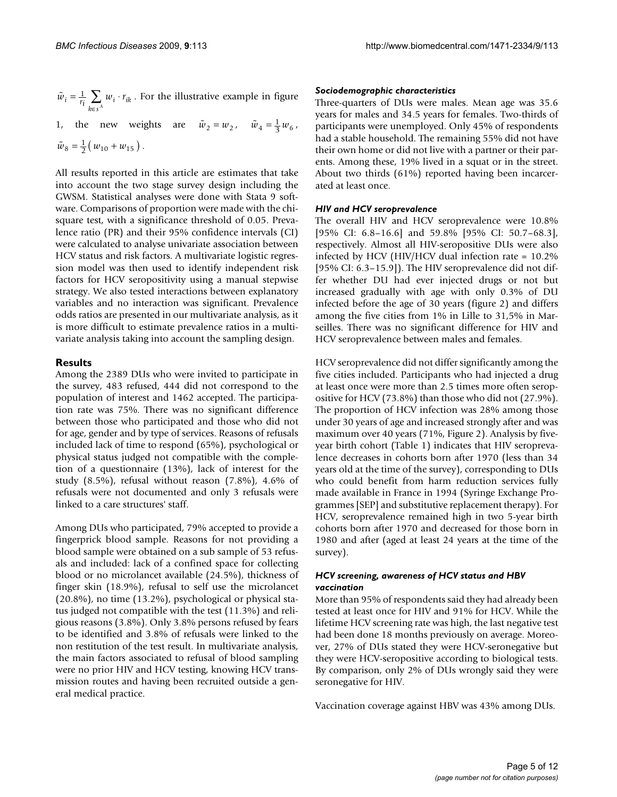$\tilde{w}_i = \frac{1}{r_i} \sum_{k \in s^A} w_i \cdot r_{ik}$ . For the illustrative example in figure  $\frac{1}{r_i}\sum_{k\in s'}$ 

1, the new weights are 
$$
\tilde{w}_2 = w_2
$$
,  $\tilde{w}_4 = \frac{1}{3}w_6$ ,

$$
\tilde{w}_8 = \frac{1}{2} (w_{10} + w_{15}).
$$

All results reported in this article are estimates that take into account the two stage survey design including the GWSM. Statistical analyses were done with Stata 9 software. Comparisons of proportion were made with the chisquare test, with a significance threshold of 0.05. Prevalence ratio (PR) and their 95% confidence intervals (CI) were calculated to analyse univariate association between HCV status and risk factors. A multivariate logistic regression model was then used to identify independent risk factors for HCV seropositivity using a manual stepwise strategy. We also tested interactions between explanatory variables and no interaction was significant. Prevalence odds ratios are presented in our multivariate analysis, as it is more difficult to estimate prevalence ratios in a multivariate analysis taking into account the sampling design.

#### **Results**

Among the 2389 DUs who were invited to participate in the survey, 483 refused, 444 did not correspond to the population of interest and 1462 accepted. The participation rate was 75%. There was no significant difference between those who participated and those who did not for age, gender and by type of services. Reasons of refusals included lack of time to respond (65%), psychological or physical status judged not compatible with the completion of a questionnaire (13%), lack of interest for the study (8.5%), refusal without reason (7.8%), 4.6% of refusals were not documented and only 3 refusals were linked to a care structures' staff.

Among DUs who participated, 79% accepted to provide a fingerprick blood sample. Reasons for not providing a blood sample were obtained on a sub sample of 53 refusals and included: lack of a confined space for collecting blood or no microlancet available (24.5%), thickness of finger skin (18.9%), refusal to self use the microlancet (20.8%), no time (13.2%), psychological or physical status judged not compatible with the test (11.3%) and religious reasons (3.8%). Only 3.8% persons refused by fears to be identified and 3.8% of refusals were linked to the non restitution of the test result. In multivariate analysis, the main factors associated to refusal of blood sampling were no prior HIV and HCV testing, knowing HCV transmission routes and having been recruited outside a general medical practice.

#### *Sociodemographic characteristics*

Three-quarters of DUs were males. Mean age was 35.6 years for males and 34.5 years for females. Two-thirds of participants were unemployed. Only 45% of respondents had a stable household. The remaining 55% did not have their own home or did not live with a partner or their parents. Among these, 19% lived in a squat or in the street. About two thirds (61%) reported having been incarcerated at least once.

#### *HIV and HCV seroprevalence*

The overall HIV and HCV seroprevalence were 10.8% [95% CI: 6.8–16.6] and 59.8% [95% CI: 50.7–68.3], respectively. Almost all HIV-seropositive DUs were also infected by HCV (HIV/HCV dual infection rate = 10.2% [95% CI: 6.3–15.9]). The HIV seroprevalence did not differ whether DU had ever injected drugs or not but increased gradually with age with only 0.3% of DU infected before the age of 30 years (figure 2) and differs among the five cities from 1% in Lille to 31,5% in Marseilles. There was no significant difference for HIV and HCV seroprevalence between males and females.

HCV seroprevalence did not differ significantly among the five cities included. Participants who had injected a drug at least once were more than 2.5 times more often seropositive for HCV (73.8%) than those who did not (27.9%). The proportion of HCV infection was 28% among those under 30 years of age and increased strongly after and was maximum over 40 years (71%, Figure 2). Analysis by fiveyear birth cohort (Table 1) indicates that HIV seroprevalence decreases in cohorts born after 1970 (less than 34 years old at the time of the survey), corresponding to DUs who could benefit from harm reduction services fully made available in France in 1994 (Syringe Exchange Programmes [SEP] and substitutive replacement therapy). For HCV, seroprevalence remained high in two 5-year birth cohorts born after 1970 and decreased for those born in 1980 and after (aged at least 24 years at the time of the survey).

#### *HCV screening, awareness of HCV status and HBV vaccination*

More than 95% of respondents said they had already been tested at least once for HIV and 91% for HCV. While the lifetime HCV screening rate was high, the last negative test had been done 18 months previously on average. Moreover, 27% of DUs stated they were HCV-seronegative but they were HCV-seropositive according to biological tests. By comparison, only 2% of DUs wrongly said they were seronegative for HIV.

Vaccination coverage against HBV was 43% among DUs.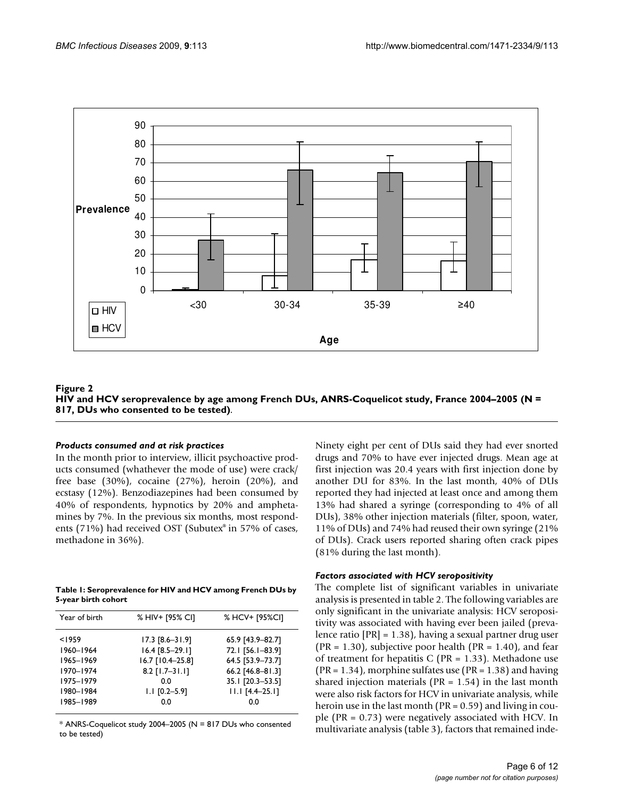

#### HIV and HCV seroprevalence by age among French DUs, consented to be tested) **Figure 2** ANRS-Coquelicot study, France 2004–2005 (N = 817, DUs who **HIV and HCV seroprevalence by age among French DUs, ANRS-Coquelicot study, France 2004–2005 (N = 817, DUs who consented to be tested)**.

#### *Products consumed and at risk practices*

In the month prior to interview, illicit psychoactive products consumed (whathever the mode of use) were crack/ free base (30%), cocaine (27%), heroin (20%), and ecstasy (12%). Benzodiazepines had been consumed by 40% of respondents, hypnotics by 20% and amphetamines by 7%. In the previous six months, most respondents (71%) had received OST (Subutex® in 57% of cases, methadone in 36%).

#### **Table 1: Seroprevalence for HIV and HCV among French DUs by 5-year birth cohort**

| Year of birth | % HIV+ [95% CI]       | % HCV+ [95%CI]    |
|---------------|-----------------------|-------------------|
| 1959          | $17.3$ $[8.6 - 31.9]$ | 65.9 [43.9-82.7]  |
| 1960-1964     | $16.4 [8.5 - 29.1]$   | 72.1 [56.1-83.9]  |
| 1965-1969     | 16.7 [10.4-25.8]      | 64.5 [53.9-73.7]  |
| 1970-1974     | $8.2$ [1.7-31.1]      | 66.2 [46.8-81.3]  |
| 1975-1979     | 0.0                   | 35.1 [20.3-53.5]  |
| 1980-1984     | $1.1$ $[0.2 - 5.9]$   | $11.1$ [4.4-25.1] |
| 1985-1989     | 0.0                   | 0.0               |
|               |                       |                   |

\* ANRS-Coquelicot study 2004–2005 (N = 817 DUs who consented to be tested)

Ninety eight per cent of DUs said they had ever snorted drugs and 70% to have ever injected drugs. Mean age at first injection was 20.4 years with first injection done by another DU for 83%. In the last month, 40% of DUs reported they had injected at least once and among them 13% had shared a syringe (corresponding to 4% of all DUs), 38% other injection materials (filter, spoon, water, 11% of DUs) and 74% had reused their own syringe (21% of DUs). Crack users reported sharing often crack pipes (81% during the last month).

#### *Factors associated with HCV seropositivity*

The complete list of significant variables in univariate analysis is presented in table 2. The following variables are only significant in the univariate analysis: HCV seropositivity was associated with having ever been jailed (prevalence ratio  $[PR] = 1.38$ , having a sexual partner drug user  $(PR = 1.30)$ , subjective poor health  $(PR = 1.40)$ , and fear of treatment for hepatitis C ( $PR = 1.33$ ). Methadone use  $(PR = 1.34)$ , morphine sulfates use  $(PR = 1.38)$  and having shared injection materials ( $PR = 1.54$ ) in the last month were also risk factors for HCV in univariate analysis, while heroin use in the last month ( $PR = 0.59$ ) and living in couple (PR = 0.73) were negatively associated with HCV. In multivariate analysis (table 3), factors that remained inde-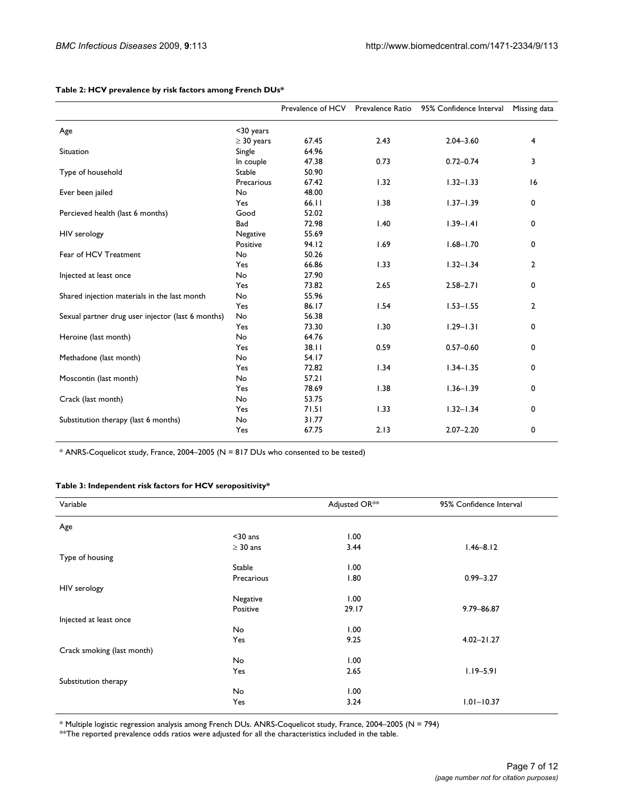|                                                   |                 | Prevalence of HCV Prevalence Ratio |      | 95% Confidence Interval | Missing data   |
|---------------------------------------------------|-----------------|------------------------------------|------|-------------------------|----------------|
| Age                                               | <30 years       |                                    |      |                         |                |
|                                                   | $\geq$ 30 years | 67.45                              | 2.43 | $2.04 - 3.60$           | 4              |
| Situation                                         | Single          | 64.96                              |      |                         |                |
|                                                   | In couple       | 47.38                              | 0.73 | $0.72 - 0.74$           | 3              |
| Type of household                                 | Stable          | 50.90                              |      |                         |                |
|                                                   | Precarious      | 67.42                              | 1.32 | $1.32 - 1.33$           | 16             |
| Ever been jailed                                  | No              | 48.00                              |      |                         |                |
|                                                   | Yes             | 66.11                              | 1.38 | $1.37 - 1.39$           | 0              |
| Percieved health (last 6 months)                  | Good            | 52.02                              |      |                         |                |
|                                                   | Bad             | 72.98                              | 1.40 | $1.39 - 1.41$           | 0              |
| HIV serology                                      | Negative        | 55.69                              |      |                         |                |
|                                                   | Positive        | 94.12                              | 1.69 | $1.68 - 1.70$           | 0              |
| Fear of HCV Treatment                             | No              | 50.26                              |      |                         |                |
|                                                   | Yes             | 66.86                              | 1.33 | $1.32 - 1.34$           | 2              |
| Injected at least once                            | No              | 27.90                              |      |                         |                |
|                                                   | Yes             | 73.82                              | 2.65 | $2.58 - 2.71$           | 0              |
| Shared injection materials in the last month      | No              | 55.96                              |      |                         |                |
|                                                   | Yes             | 86.17                              | 1.54 | $1.53 - 1.55$           | $\overline{2}$ |
| Sexual partner drug user injector (last 6 months) | No              | 56.38                              |      |                         |                |
|                                                   | Yes             | 73.30                              | 1.30 | $1.29 - 1.31$           | 0              |
| Heroine (last month)                              | No              | 64.76                              |      |                         |                |
|                                                   | Yes             | 38.11                              | 0.59 | $0.57 - 0.60$           | 0              |
| Methadone (last month)                            | No              | 54.17                              |      |                         |                |
|                                                   | Yes             | 72.82                              | 1.34 | $1.34 - 1.35$           | 0              |
| Moscontin (last month)                            | No              | 57.21                              |      |                         |                |
|                                                   | Yes             | 78.69                              | 1.38 | $1.36 - 1.39$           | 0              |
| Crack (last month)                                | No              | 53.75                              |      |                         |                |
|                                                   | Yes             | 71.51                              | 1.33 | $1.32 - 1.34$           | 0              |
| Substitution therapy (last 6 months)              | No              | 31.77                              |      |                         |                |
|                                                   | Yes             | 67.75                              | 2.13 | $2.07 - 2.20$           | 0              |

#### **Table 2: HCV prevalence by risk factors among French DUs\***

\* ANRS-Coquelicot study, France, 2004–2005 (N = 817 DUs who consented to be tested)

#### **Table 3: Independent risk factors for HCV seropositivity\***

| Variable                   |               | Adjusted OR** | 95% Confidence Interval |
|----------------------------|---------------|---------------|-------------------------|
| Age                        |               |               |                         |
|                            | $30$ ans      | 1.00          |                         |
|                            | $\geq$ 30 ans | 3.44          | $1.46 - 8.12$           |
| Type of housing            |               |               |                         |
|                            | Stable        | 1.00          |                         |
|                            | Precarious    | 1.80          | $0.99 - 3.27$           |
| HIV serology               |               |               |                         |
|                            | Negative      | 1.00          |                         |
|                            | Positive      | 29.17         | 9.79-86.87              |
| Injected at least once     |               |               |                         |
|                            | No            | 1.00          |                         |
|                            | Yes           | 9.25          | $4.02 - 21.27$          |
| Crack smoking (last month) |               |               |                         |
|                            | No            | 1.00          |                         |
|                            | Yes           | 2.65          | $1.19 - 5.91$           |
| Substitution therapy       |               |               |                         |
|                            | No            | 1.00          |                         |
|                            | Yes           | 3.24          | $1.01 - 10.37$          |

\* Multiple logistic regression analysis among French DUs. ANRS-Coquelicot study, France, 2004–2005 (N = 794)

\*\*The reported prevalence odds ratios were adjusted for all the characteristics included in the table.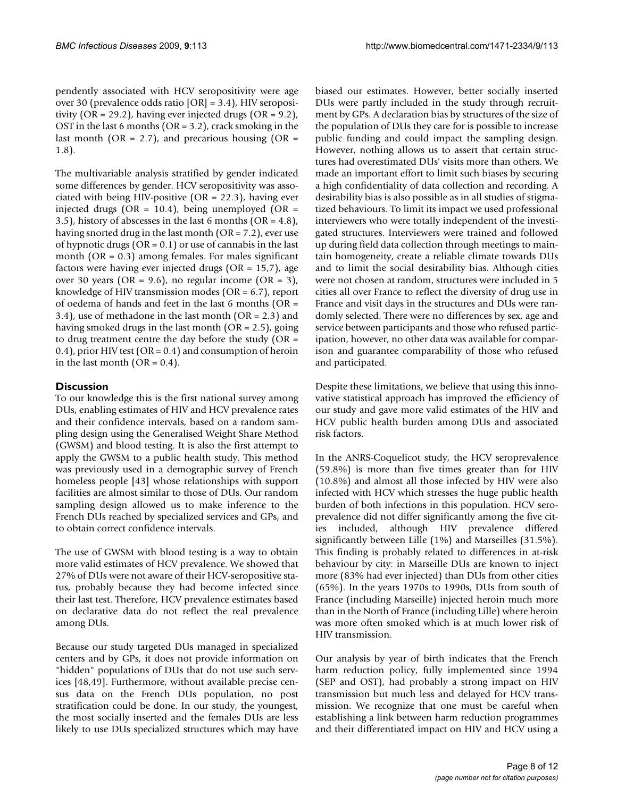pendently associated with HCV seropositivity were age over 30 (prevalence odds ratio [OR] = 3.4), HIV seropositivity (OR = 29.2), having ever injected drugs (OR =  $9.2$ ), OST in the last 6 months (OR =  $3.2$ ), crack smoking in the last month (OR = 2.7), and precarious housing (OR = 1.8).

The multivariable analysis stratified by gender indicated some differences by gender. HCV seropositivity was associated with being HIV-positive ( $OR = 22.3$ ), having ever injected drugs (OR =  $10.4$ ), being unemployed (OR = 3.5), history of abscesses in the last 6 months (OR = 4.8), having snorted drug in the last month (OR = 7.2), ever use of hypnotic drugs ( $OR = 0.1$ ) or use of cannabis in the last month  $(OR = 0.3)$  among females. For males significant factors were having ever injected drugs ( $OR = 15,7$ ), age over 30 years (OR = 9.6), no regular income (OR = 3), knowledge of HIV transmission modes (OR = 6.7), report of oedema of hands and feet in the last 6 months (OR = 3.4), use of methadone in the last month (OR = 2.3) and having smoked drugs in the last month (OR = 2.5), going to drug treatment centre the day before the study  $(OR =$ 0.4), prior HIV test ( $OR = 0.4$ ) and consumption of heroin in the last month ( $OR = 0.4$ ).

### **Discussion**

To our knowledge this is the first national survey among DUs, enabling estimates of HIV and HCV prevalence rates and their confidence intervals, based on a random sampling design using the Generalised Weight Share Method (GWSM) and blood testing. It is also the first attempt to apply the GWSM to a public health study. This method was previously used in a demographic survey of French homeless people [43] whose relationships with support facilities are almost similar to those of DUs. Our random sampling design allowed us to make inference to the French DUs reached by specialized services and GPs, and to obtain correct confidence intervals.

The use of GWSM with blood testing is a way to obtain more valid estimates of HCV prevalence. We showed that 27% of DUs were not aware of their HCV-seropositive status, probably because they had become infected since their last test. Therefore, HCV prevalence estimates based on declarative data do not reflect the real prevalence among DUs.

Because our study targeted DUs managed in specialized centers and by GPs, it does not provide information on "hidden" populations of DUs that do not use such services [48,49]. Furthermore, without available precise census data on the French DUs population, no post stratification could be done. In our study, the youngest, the most socially inserted and the females DUs are less likely to use DUs specialized structures which may have biased our estimates. However, better socially inserted DUs were partly included in the study through recruitment by GPs. A declaration bias by structures of the size of the population of DUs they care for is possible to increase public funding and could impact the sampling design. However, nothing allows us to assert that certain structures had overestimated DUs' visits more than others. We made an important effort to limit such biases by securing a high confidentiality of data collection and recording. A desirability bias is also possible as in all studies of stigmatized behaviours. To limit its impact we used professional interviewers who were totally independent of the investigated structures. Interviewers were trained and followed up during field data collection through meetings to maintain homogeneity, create a reliable climate towards DUs and to limit the social desirability bias. Although cities were not chosen at random, structures were included in 5 cities all over France to reflect the diversity of drug use in France and visit days in the structures and DUs were randomly selected. There were no differences by sex, age and service between participants and those who refused participation, however, no other data was available for comparison and guarantee comparability of those who refused and participated.

Despite these limitations, we believe that using this innovative statistical approach has improved the efficiency of our study and gave more valid estimates of the HIV and HCV public health burden among DUs and associated risk factors.

In the ANRS-Coquelicot study, the HCV seroprevalence (59.8%) is more than five times greater than for HIV (10.8%) and almost all those infected by HIV were also infected with HCV which stresses the huge public health burden of both infections in this population. HCV seroprevalence did not differ significantly among the five cities included, although HIV prevalence differed significantly between Lille (1%) and Marseilles (31.5%). This finding is probably related to differences in at-risk behaviour by city: in Marseille DUs are known to inject more (83% had ever injected) than DUs from other cities (65%). In the years 1970s to 1990s, DUs from south of France (including Marseille) injected heroin much more than in the North of France (including Lille) where heroin was more often smoked which is at much lower risk of HIV transmission.

Our analysis by year of birth indicates that the French harm reduction policy, fully implemented since 1994 (SEP and OST), had probably a strong impact on HIV transmission but much less and delayed for HCV transmission. We recognize that one must be careful when establishing a link between harm reduction programmes and their differentiated impact on HIV and HCV using a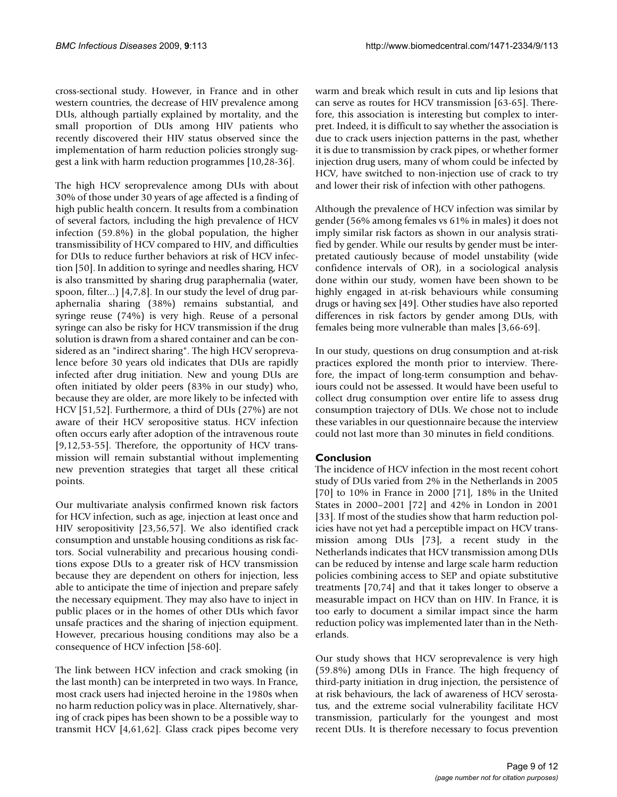cross-sectional study. However, in France and in other western countries, the decrease of HIV prevalence among DUs, although partially explained by mortality, and the small proportion of DUs among HIV patients who recently discovered their HIV status observed since the implementation of harm reduction policies strongly suggest a link with harm reduction programmes [10,28-36].

The high HCV seroprevalence among DUs with about 30% of those under 30 years of age affected is a finding of high public health concern. It results from a combination of several factors, including the high prevalence of HCV infection (59.8%) in the global population, the higher transmissibility of HCV compared to HIV, and difficulties for DUs to reduce further behaviors at risk of HCV infection [50]. In addition to syringe and needles sharing, HCV is also transmitted by sharing drug paraphernalia (water, spoon, filter...) [4,7,8]. In our study the level of drug paraphernalia sharing (38%) remains substantial, and syringe reuse (74%) is very high. Reuse of a personal syringe can also be risky for HCV transmission if the drug solution is drawn from a shared container and can be considered as an "indirect sharing". The high HCV seroprevalence before 30 years old indicates that DUs are rapidly infected after drug initiation. New and young DUs are often initiated by older peers (83% in our study) who, because they are older, are more likely to be infected with HCV [51,52]. Furthermore, a third of DUs (27%) are not aware of their HCV seropositive status. HCV infection often occurs early after adoption of the intravenous route [9,12,53-55]. Therefore, the opportunity of HCV transmission will remain substantial without implementing new prevention strategies that target all these critical points.

Our multivariate analysis confirmed known risk factors for HCV infection, such as age, injection at least once and HIV seropositivity [23,56,57]. We also identified crack consumption and unstable housing conditions as risk factors. Social vulnerability and precarious housing conditions expose DUs to a greater risk of HCV transmission because they are dependent on others for injection, less able to anticipate the time of injection and prepare safely the necessary equipment. They may also have to inject in public places or in the homes of other DUs which favor unsafe practices and the sharing of injection equipment. However, precarious housing conditions may also be a consequence of HCV infection [58-60].

The link between HCV infection and crack smoking (in the last month) can be interpreted in two ways. In France, most crack users had injected heroine in the 1980s when no harm reduction policy was in place. Alternatively, sharing of crack pipes has been shown to be a possible way to transmit HCV [4,61,62]. Glass crack pipes become very

warm and break which result in cuts and lip lesions that can serve as routes for HCV transmission [63-65]. Therefore, this association is interesting but complex to interpret. Indeed, it is difficult to say whether the association is due to crack users injection patterns in the past, whether it is due to transmission by crack pipes, or whether former injection drug users, many of whom could be infected by HCV, have switched to non-injection use of crack to try and lower their risk of infection with other pathogens.

Although the prevalence of HCV infection was similar by gender (56% among females vs 61% in males) it does not imply similar risk factors as shown in our analysis stratified by gender. While our results by gender must be interpretated cautiously because of model unstability (wide confidence intervals of OR), in a sociological analysis done within our study, women have been shown to be highly engaged in at-risk behaviours while consuming drugs or having sex [49]. Other studies have also reported differences in risk factors by gender among DUs, with females being more vulnerable than males [3,66-69].

In our study, questions on drug consumption and at-risk practices explored the month prior to interview. Therefore, the impact of long-term consumption and behaviours could not be assessed. It would have been useful to collect drug consumption over entire life to assess drug consumption trajectory of DUs. We chose not to include these variables in our questionnaire because the interview could not last more than 30 minutes in field conditions.

### **Conclusion**

The incidence of HCV infection in the most recent cohort study of DUs varied from 2% in the Netherlands in 2005 [70] to 10% in France in 2000 [71], 18% in the United States in 2000–2001 [72] and 42% in London in 2001 [33]. If most of the studies show that harm reduction policies have not yet had a perceptible impact on HCV transmission among DUs [73], a recent study in the Netherlands indicates that HCV transmission among DUs can be reduced by intense and large scale harm reduction policies combining access to SEP and opiate substitutive treatments [70,74] and that it takes longer to observe a measurable impact on HCV than on HIV. In France, it is too early to document a similar impact since the harm reduction policy was implemented later than in the Netherlands.

Our study shows that HCV seroprevalence is very high (59.8%) among DUs in France. The high frequency of third-party initiation in drug injection, the persistence of at risk behaviours, the lack of awareness of HCV serostatus, and the extreme social vulnerability facilitate HCV transmission, particularly for the youngest and most recent DUs. It is therefore necessary to focus prevention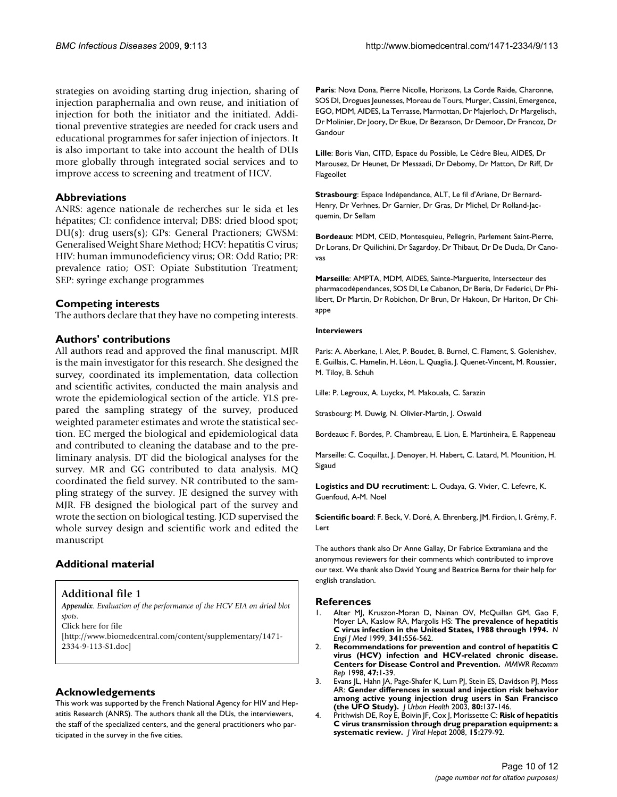strategies on avoiding starting drug injection, sharing of injection paraphernalia and own reuse, and initiation of injection for both the initiator and the initiated. Additional preventive strategies are needed for crack users and educational programmes for safer injection of injectors. It is also important to take into account the health of DUs more globally through integrated social services and to improve access to screening and treatment of HCV.

#### **Abbreviations**

ANRS: agence nationale de recherches sur le sida et les hépatites; CI: confidence interval; DBS: dried blood spot; DU(s): drug users(s); GPs: General Practioners; GWSM: Generalised Weight Share Method; HCV: hepatitis C virus; HIV: human immunodeficiency virus; OR: Odd Ratio; PR: prevalence ratio; OST: Opiate Substitution Treatment; SEP: syringe exchange programmes

#### **Competing interests**

The authors declare that they have no competing interests.

#### **Authors' contributions**

All authors read and approved the final manuscript. MJR is the main investigator for this research. She designed the survey, coordinated its implementation, data collection and scientific activites, conducted the main analysis and wrote the epidemiological section of the article. YLS prepared the sampling strategy of the survey, produced weighted parameter estimates and wrote the statistical section. EC merged the biological and epidemiological data and contributed to cleaning the database and to the preliminary analysis. DT did the biological analyses for the survey. MR and GG contributed to data analysis. MQ coordinated the field survey. NR contributed to the sampling strategy of the survey. JE designed the survey with MJR. FB designed the biological part of the survey and wrote the section on biological testing. JCD supervised the whole survey design and scientific work and edited the manuscript

#### **Additional material**

#### **Additional file 1**

*Appendix. Evaluation of the performance of the HCV EIA on dried blot spots.* Click here for file [\[http://www.biomedcentral.com/content/supplementary/1471-](http://www.biomedcentral.com/content/supplementary/1471-2334-9-113-S1.doc)

2334-9-113-S1.doc]

#### **Acknowledgements**

This work was supported by the French National Agency for HIV and Hepatitis Research (ANRS). The authors thank all the DUs, the interviewers, the staff of the specialized centers, and the general practitioners who participated in the survey in the five cities.

**Paris**: Nova Dona, Pierre Nicolle, Horizons, La Corde Raide, Charonne, SOS DI, Drogues Jeunesses, Moreau de Tours, Murger, Cassini, Emergence, EGO, MDM, AIDES, La Terrasse, Marmottan, Dr Majerloch, Dr Margelisch, Dr Molinier, Dr Joory, Dr Ekue, Dr Bezanson, Dr Demoor, Dr Francoz, Dr Gandour

**Lille**: Boris Vian, CITD, Espace du Possible, Le Cèdre Bleu, AIDES, Dr Marousez, Dr Heunet, Dr Messaadi, Dr Debomy, Dr Matton, Dr Riff, Dr Flageollet

**Strasbourg**: Espace Indépendance, ALT, Le fil d'Ariane, Dr Bernard-Henry, Dr Verhnes, Dr Garnier, Dr Gras, Dr Michel, Dr Rolland-Jacquemin, Dr Sellam

**Bordeaux**: MDM, CEID, Montesquieu, Pellegrin, Parlement Saint-Pierre, Dr Lorans, Dr Quilichini, Dr Sagardoy, Dr Thibaut, Dr De Ducla, Dr Canovas

**Marseille**: AMPTA, MDM, AIDES, Sainte-Marguerite, Intersecteur des pharmacodépendances, SOS DI, Le Cabanon, Dr Beria, Dr Federici, Dr Philibert, Dr Martin, Dr Robichon, Dr Brun, Dr Hakoun, Dr Hariton, Dr Chiappe

#### **Interviewers**

Paris: A. Aberkane, I. Alet, P. Boudet, B. Burnel, C. Flament, S. Golenishev, E. Guillais, C. Hamelin, H. Léon, L. Quaglia, J. Quenet-Vincent, M. Roussier, M. Tiloy, B. Schuh

Lille: P. Legroux, A. Luyckx, M. Makouala, C. Sarazin

Strasbourg: M. Duwig, N. Olivier-Martin, J. Oswald

Bordeaux: F. Bordes, P. Chambreau, E. Lion, E. Martinheira, E. Rappeneau

Marseille: C. Coquillat, J. Denoyer, H. Habert, C. Latard, M. Mounition, H. Sigaud

**Logistics and DU recrutiment**: L. Oudaya, G. Vivier, C. Lefevre, K. Guenfoud, A-M. Noel

**Scientific board**: F. Beck, V. Doré, A. Ehrenberg, JM. Firdion, I. Grémy, F. Lert

The authors thank also Dr Anne Gallay, Dr Fabrice Extramiana and the anonymous reviewers for their comments which contributed to improve our text. We thank also David Young and Beatrice Berna for their help for english translation.

#### **References**

- 1. Alter MJ, Kruszon-Moran D, Nainan OV, McQuillan GM, Gao F, Moyer LA, Kaslow RA, Margolis HS: **[The prevalence of hepatitis](http://www.ncbi.nlm.nih.gov/entrez/query.fcgi?cmd=Retrieve&db=PubMed&dopt=Abstract&list_uids=10451460) [C virus infection in the United States, 1988 through 1994.](http://www.ncbi.nlm.nih.gov/entrez/query.fcgi?cmd=Retrieve&db=PubMed&dopt=Abstract&list_uids=10451460)** *N Engl J Med* 1999, **341:**556-562.
- 2. **Recommendations for prevention and control of hepatitis C virus (HCV) infection and HCV-related chronic disease. Centers for Disease Control and Prevention.** *MMWR Recomm Rep* 1998, **47:**1-39.
- 3. Evans JL, Hahn JA, Page-Shafer K, Lum PJ, Stein ES, Davidson PJ, Moss AR: **[Gender differences in sexual and injection risk behavior](http://www.ncbi.nlm.nih.gov/entrez/query.fcgi?cmd=Retrieve&db=PubMed&dopt=Abstract&list_uids=12612103) [among active young injection drug users in San Francisco](http://www.ncbi.nlm.nih.gov/entrez/query.fcgi?cmd=Retrieve&db=PubMed&dopt=Abstract&list_uids=12612103) [\(the UFO Study\).](http://www.ncbi.nlm.nih.gov/entrez/query.fcgi?cmd=Retrieve&db=PubMed&dopt=Abstract&list_uids=12612103)** *J Urban Health* 2003, **80:**137-146.
- 4. Prithwish DE, Roy E, Boivin JF, Cox J, Morissette C: **[Risk of hepatitis](http://www.ncbi.nlm.nih.gov/entrez/query.fcgi?cmd=Retrieve&db=PubMed&dopt=Abstract&list_uids=18208496) [C virus transmission through drug preparation equipment: a](http://www.ncbi.nlm.nih.gov/entrez/query.fcgi?cmd=Retrieve&db=PubMed&dopt=Abstract&list_uids=18208496) [systematic review.](http://www.ncbi.nlm.nih.gov/entrez/query.fcgi?cmd=Retrieve&db=PubMed&dopt=Abstract&list_uids=18208496)** *J Viral Hepat* 2008, **15:**279-92.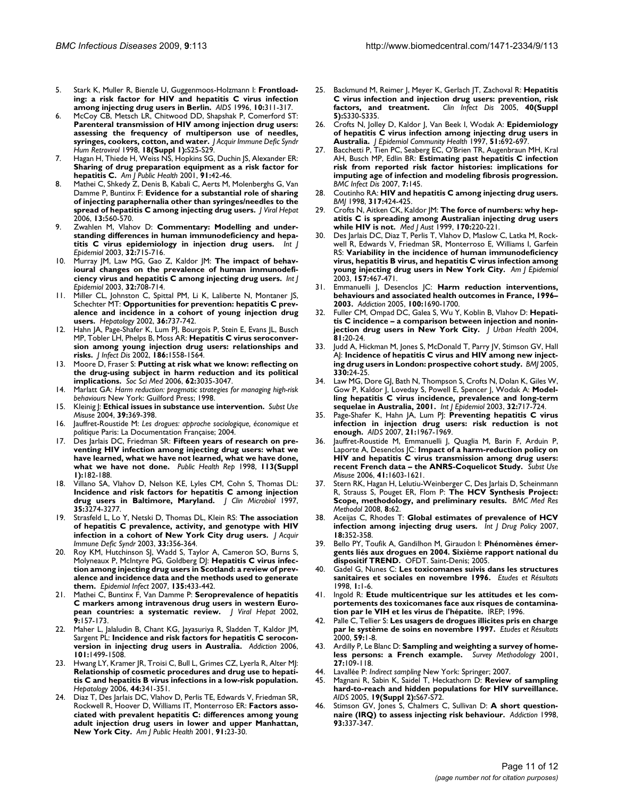- 5. Stark K, Muller R, Bienzle U, Guggenmoos-Holzmann I: **[Frontload](http://www.ncbi.nlm.nih.gov/entrez/query.fcgi?cmd=Retrieve&db=PubMed&dopt=Abstract&list_uids=8882671)[ing: a risk factor for HIV and hepatitis C virus infection](http://www.ncbi.nlm.nih.gov/entrez/query.fcgi?cmd=Retrieve&db=PubMed&dopt=Abstract&list_uids=8882671) [among injecting drug users in Berlin.](http://www.ncbi.nlm.nih.gov/entrez/query.fcgi?cmd=Retrieve&db=PubMed&dopt=Abstract&list_uids=8882671)** *AIDS* 1996, **10:**311-317.
- 6. McCoy CB, Metsch LR, Chitwood DD, Shapshak P, Comerford ST: **[Parenteral transmission of HIV among injection drug users:](http://www.ncbi.nlm.nih.gov/entrez/query.fcgi?cmd=Retrieve&db=PubMed&dopt=Abstract&list_uids=9663620) assessing the frequency of multiperson use of needles, [syringes, cookers, cotton, and water.](http://www.ncbi.nlm.nih.gov/entrez/query.fcgi?cmd=Retrieve&db=PubMed&dopt=Abstract&list_uids=9663620)** *J Acquir Immune Defic Syndr Hum Retrovirol* 1998, **18(Suppl 1):**S25-S29.
- 7. Hagan H, Thiede H, Weiss NS, Hopkins SG, Duchin JS, Alexander ER: **[Sharing of drug preparation equipment as a risk factor for](http://www.ncbi.nlm.nih.gov/entrez/query.fcgi?cmd=Retrieve&db=PubMed&dopt=Abstract&list_uids=11189822) [hepatitis C.](http://www.ncbi.nlm.nih.gov/entrez/query.fcgi?cmd=Retrieve&db=PubMed&dopt=Abstract&list_uids=11189822)** *Am J Public Health* 2001, **91:**42-46.
- Mathei C, Shkedy Z, Denis B, Kabali C, Aerts M, Molenberghs G, Van Damme P, Buntinx F: **[Evidence for a substantial role of sharing](http://www.ncbi.nlm.nih.gov/entrez/query.fcgi?cmd=Retrieve&db=PubMed&dopt=Abstract&list_uids=16901287) [of injecting paraphernalia other than syringes/needles to the](http://www.ncbi.nlm.nih.gov/entrez/query.fcgi?cmd=Retrieve&db=PubMed&dopt=Abstract&list_uids=16901287) [spread of hepatitis C among injecting drug users.](http://www.ncbi.nlm.nih.gov/entrez/query.fcgi?cmd=Retrieve&db=PubMed&dopt=Abstract&list_uids=16901287)** *J Viral Hepat* 2006, **13:**560-570.
- Zwahlen M, Vlahov D: [Commentary: Modelling and under](http://www.ncbi.nlm.nih.gov/entrez/query.fcgi?cmd=Retrieve&db=PubMed&dopt=Abstract&list_uids=14559737)**[standing differences in human immunodeficiency and hepa](http://www.ncbi.nlm.nih.gov/entrez/query.fcgi?cmd=Retrieve&db=PubMed&dopt=Abstract&list_uids=14559737)[titis C virus epidemiology in injection drug users.](http://www.ncbi.nlm.nih.gov/entrez/query.fcgi?cmd=Retrieve&db=PubMed&dopt=Abstract&list_uids=14559737)** *Int J Epidemiol* 2003, **32:**715-716.
- 10. Murray JM, Law MG, Gao Z, Kaldor JM: **[The impact of behav](http://www.ncbi.nlm.nih.gov/entrez/query.fcgi?cmd=Retrieve&db=PubMed&dopt=Abstract&list_uids=14559736)[ioural changes on the prevalence of human immunodefi](http://www.ncbi.nlm.nih.gov/entrez/query.fcgi?cmd=Retrieve&db=PubMed&dopt=Abstract&list_uids=14559736)[ciency virus and hepatitis C among injecting drug users.](http://www.ncbi.nlm.nih.gov/entrez/query.fcgi?cmd=Retrieve&db=PubMed&dopt=Abstract&list_uids=14559736)** *Int J Epidemiol* 2003, **32:**708-714.
- 11. Miller CL, Johnston C, Spittal PM, Li K, Laliberte N, Montaner JS, Schechter MT: **[Opportunities for prevention: hepatitis C prev](http://www.ncbi.nlm.nih.gov/entrez/query.fcgi?cmd=Retrieve&db=PubMed&dopt=Abstract&list_uids=12198668)[alence and incidence in a cohort of young injection drug](http://www.ncbi.nlm.nih.gov/entrez/query.fcgi?cmd=Retrieve&db=PubMed&dopt=Abstract&list_uids=12198668) [users.](http://www.ncbi.nlm.nih.gov/entrez/query.fcgi?cmd=Retrieve&db=PubMed&dopt=Abstract&list_uids=12198668)** *Hepatology* 2002, **36:**737-742.
- 12. Hahn JA, Page-Shafer K, Lum PJ, Bourgois P, Stein E, Evans JL, Busch MP, Tobler LH, Phelps B, Moss AR: **[Hepatitis C virus seroconver](http://www.ncbi.nlm.nih.gov/entrez/query.fcgi?cmd=Retrieve&db=PubMed&dopt=Abstract&list_uids=12447730)[sion among young injection drug users: relationships and](http://www.ncbi.nlm.nih.gov/entrez/query.fcgi?cmd=Retrieve&db=PubMed&dopt=Abstract&list_uids=12447730) [risks.](http://www.ncbi.nlm.nih.gov/entrez/query.fcgi?cmd=Retrieve&db=PubMed&dopt=Abstract&list_uids=12447730)** *J Infect Dis* 2002, **186:**1558-1564.
- 13. Moore D, Fraser S: **[Putting at risk what we know: reflecting on](http://www.ncbi.nlm.nih.gov/entrez/query.fcgi?cmd=Retrieve&db=PubMed&dopt=Abstract&list_uids=16413645) [the drug-using subject in harm reduction and its political](http://www.ncbi.nlm.nih.gov/entrez/query.fcgi?cmd=Retrieve&db=PubMed&dopt=Abstract&list_uids=16413645) [implications.](http://www.ncbi.nlm.nih.gov/entrez/query.fcgi?cmd=Retrieve&db=PubMed&dopt=Abstract&list_uids=16413645)** *Soc Sci Med* 2006, **62:**3035-3047.
- 14. Marlatt GA: *Harm reduction: pragmatic strategies for managing high-risk behaviours* New York: Guilford Press; 1998.
- 15. Kleinig J: **[Ethical issues in substance use intervention.](http://www.ncbi.nlm.nih.gov/entrez/query.fcgi?cmd=Retrieve&db=PubMed&dopt=Abstract&list_uids=15088807)** *Subst Use Misuse* 2004, **39:**369-398.
- 16. Jauffret-Roustide M: *Les drogues: approche sociologique, économique et politique* Paris: La Documentation Française; 2004.
- 17. Des Jarlais DC, Friedman SR: **[Fifteen years of research on pre](http://www.ncbi.nlm.nih.gov/entrez/query.fcgi?cmd=Retrieve&db=PubMed&dopt=Abstract&list_uids=9722823)[venting HIV infection among injecting drug users: what we](http://www.ncbi.nlm.nih.gov/entrez/query.fcgi?cmd=Retrieve&db=PubMed&dopt=Abstract&list_uids=9722823) have learned, what we have not learned, what we have done, [what we have not done.](http://www.ncbi.nlm.nih.gov/entrez/query.fcgi?cmd=Retrieve&db=PubMed&dopt=Abstract&list_uids=9722823)** *Public Health Rep* 1998, **113(Suppl 1):**182-188.
- 18. Villano SA, Vlahov D, Nelson KE, Lyles CM, Cohn S, Thomas DL: **[Incidence and risk factors for hepatitis C among injection](http://www.ncbi.nlm.nih.gov/entrez/query.fcgi?cmd=Retrieve&db=PubMed&dopt=Abstract&list_uids=9399533) [drug users in Baltimore, Maryland.](http://www.ncbi.nlm.nih.gov/entrez/query.fcgi?cmd=Retrieve&db=PubMed&dopt=Abstract&list_uids=9399533)** *J Clin Microbiol* 1997, **35:**3274-3277.
- 19. Strasfeld L, Lo Y, Netski D, Thomas DL, Klein RS: **[The association](http://www.ncbi.nlm.nih.gov/entrez/query.fcgi?cmd=Retrieve&db=PubMed&dopt=Abstract&list_uids=12843747) [of hepatitis C prevalence, activity, and genotype with HIV](http://www.ncbi.nlm.nih.gov/entrez/query.fcgi?cmd=Retrieve&db=PubMed&dopt=Abstract&list_uids=12843747) [infection in a cohort of New York City drug users.](http://www.ncbi.nlm.nih.gov/entrez/query.fcgi?cmd=Retrieve&db=PubMed&dopt=Abstract&list_uids=12843747)** *J Acquir Immune Defic Syndr* 2003, **33:**356-364.
- 20. Roy KM, Hutchinson SJ, Wadd S, Taylor A, Cameron SO, Burns S, Molyneaux P, McIntyre PG, Goldberg DJ: **[Hepatitis C virus infec](http://www.ncbi.nlm.nih.gov/entrez/query.fcgi?cmd=Retrieve&db=PubMed&dopt=Abstract&list_uids=16893486)[tion among injecting drug users in Scotland: a review of prev](http://www.ncbi.nlm.nih.gov/entrez/query.fcgi?cmd=Retrieve&db=PubMed&dopt=Abstract&list_uids=16893486)alence and incidence data and the methods used to generate [them.](http://www.ncbi.nlm.nih.gov/entrez/query.fcgi?cmd=Retrieve&db=PubMed&dopt=Abstract&list_uids=16893486)** *Epidemiol Infect* 2007, **135:**433-442.
- 21. Mathei C, Buntinx F, Van Damme P: **[Seroprevalence of hepatitis](http://www.ncbi.nlm.nih.gov/entrez/query.fcgi?cmd=Retrieve&db=PubMed&dopt=Abstract&list_uids=12010503) [C markers among intravenous drug users in western Euro](http://www.ncbi.nlm.nih.gov/entrez/query.fcgi?cmd=Retrieve&db=PubMed&dopt=Abstract&list_uids=12010503)[pean countries: a systematic review.](http://www.ncbi.nlm.nih.gov/entrez/query.fcgi?cmd=Retrieve&db=PubMed&dopt=Abstract&list_uids=12010503)** *J Viral Hepat* 2002, **9:**157-173.
- 22. Maher L, Jalaludin B, Chant KG, Jayasuriya R, Sladden T, Kaldor JM, Sargent PL: **[Incidence and risk factors for hepatitis C serocon](http://www.ncbi.nlm.nih.gov/entrez/query.fcgi?cmd=Retrieve&db=PubMed&dopt=Abstract&list_uids=16968352)[version in injecting drug users in Australia.](http://www.ncbi.nlm.nih.gov/entrez/query.fcgi?cmd=Retrieve&db=PubMed&dopt=Abstract&list_uids=16968352)** *Addiction* 2006, **101:**1499-1508.
- 23. Hwang LY, Kramer JR, Troisi C, Bull L, Grimes CZ, Lyerla R, Alter MJ: **[Relationship of cosmetic procedures and drug use to hepati](http://www.ncbi.nlm.nih.gov/entrez/query.fcgi?cmd=Retrieve&db=PubMed&dopt=Abstract&list_uids=16871571)tis C and hepatitis B virus infections in a low-risk population.** *Hepatology* 2006, **44:**341-351.
- 24. Diaz T, Des Jarlais DC, Vlahov D, Perlis TE, Edwards V, Friedman SR, Rockwell R, Hoover D, Williams IT, Monterroso ER: **[Factors asso](http://www.ncbi.nlm.nih.gov/entrez/query.fcgi?cmd=Retrieve&db=PubMed&dopt=Abstract&list_uids=11189819)[ciated with prevalent hepatitis C: differences among young](http://www.ncbi.nlm.nih.gov/entrez/query.fcgi?cmd=Retrieve&db=PubMed&dopt=Abstract&list_uids=11189819) adult injection drug users in lower and upper Manhattan, [New York City.](http://www.ncbi.nlm.nih.gov/entrez/query.fcgi?cmd=Retrieve&db=PubMed&dopt=Abstract&list_uids=11189819)** *Am J Public Health* 2001, **91:**23-30.
- 25. Backmund M, Reimer J, Meyer K, Gerlach JT, Zachoval R: **[Hepatitis](http://www.ncbi.nlm.nih.gov/entrez/query.fcgi?cmd=Retrieve&db=PubMed&dopt=Abstract&list_uids=15768343) [C virus infection and injection drug users: prevention, risk](http://www.ncbi.nlm.nih.gov/entrez/query.fcgi?cmd=Retrieve&db=PubMed&dopt=Abstract&list_uids=15768343) [factors, and treatment.](http://www.ncbi.nlm.nih.gov/entrez/query.fcgi?cmd=Retrieve&db=PubMed&dopt=Abstract&list_uids=15768343)** *Clin Infect Dis* 2005, **40(Suppl 5):**S330-S335.
- 26. Crofts N, Jolley D, Kaldor J, Van Beek I, Wodak A: **[Epidemiology](http://www.ncbi.nlm.nih.gov/entrez/query.fcgi?cmd=Retrieve&db=PubMed&dopt=Abstract&list_uids=9519134) [of hepatitis C virus infection among injecting drug users in](http://www.ncbi.nlm.nih.gov/entrez/query.fcgi?cmd=Retrieve&db=PubMed&dopt=Abstract&list_uids=9519134) [Australia.](http://www.ncbi.nlm.nih.gov/entrez/query.fcgi?cmd=Retrieve&db=PubMed&dopt=Abstract&list_uids=9519134)** *J Epidemiol Community Health* 1997, **51:**692-697.
- 27. Bacchetti P, Tien PC, Seaberg EC, O'Brien TR, Augenbraun MH, Kral AH, Busch MP, Edlin BR: **[Estimating past hepatitis C infection](http://www.ncbi.nlm.nih.gov/entrez/query.fcgi?cmd=Retrieve&db=PubMed&dopt=Abstract&list_uids=18070362) risk from reported risk factor histories: implications for [imputing age of infection and modeling fibrosis progression.](http://www.ncbi.nlm.nih.gov/entrez/query.fcgi?cmd=Retrieve&db=PubMed&dopt=Abstract&list_uids=18070362)** *BMC Infect Dis* 2007, **7:**145.
- 28. Coutinho RA: **[HIV and hepatitis C among injecting drug users.](http://www.ncbi.nlm.nih.gov/entrez/query.fcgi?cmd=Retrieve&db=PubMed&dopt=Abstract&list_uids=9703519)** *BMJ* 1998, **317:**424-425.
- 29. Crofts N, Aitken CK, Kaldor JM: **[The force of numbers: why hep](http://www.ncbi.nlm.nih.gov/entrez/query.fcgi?cmd=Retrieve&db=PubMed&dopt=Abstract&list_uids=10092920)[atitis C is spreading among Australian injecting drug users](http://www.ncbi.nlm.nih.gov/entrez/query.fcgi?cmd=Retrieve&db=PubMed&dopt=Abstract&list_uids=10092920) [while HIV is not.](http://www.ncbi.nlm.nih.gov/entrez/query.fcgi?cmd=Retrieve&db=PubMed&dopt=Abstract&list_uids=10092920)** *Med J Aust* 1999, **170:**220-221.
- 30. Des Jarlais DC, Diaz T, Perlis T, Vlahov D, Maslow C, Latka M, Rockwell R, Edwards V, Friedman SR, Monterroso E, Williams I, Garfein RS: **[Variability in the incidence of human immunodeficiency](http://www.ncbi.nlm.nih.gov/entrez/query.fcgi?cmd=Retrieve&db=PubMed&dopt=Abstract&list_uids=12615611) [virus, hepatitis B virus, and hepatitis C virus infection among](http://www.ncbi.nlm.nih.gov/entrez/query.fcgi?cmd=Retrieve&db=PubMed&dopt=Abstract&list_uids=12615611) [young injecting drug users in New York City.](http://www.ncbi.nlm.nih.gov/entrez/query.fcgi?cmd=Retrieve&db=PubMed&dopt=Abstract&list_uids=12615611)** *Am J Epidemiol* 2003, **157:**467-471.
- 31. Emmanuelli J, Desenclos JC: **[Harm reduction interventions,](http://www.ncbi.nlm.nih.gov/entrez/query.fcgi?cmd=Retrieve&db=PubMed&dopt=Abstract&list_uids=16277629) [behaviours and associated health outcomes in France, 1996–](http://www.ncbi.nlm.nih.gov/entrez/query.fcgi?cmd=Retrieve&db=PubMed&dopt=Abstract&list_uids=16277629) [2003.](http://www.ncbi.nlm.nih.gov/entrez/query.fcgi?cmd=Retrieve&db=PubMed&dopt=Abstract&list_uids=16277629)** *Addiction* 2005, **100:**1690-1700.
- 32. Fuller CM, Ompad DC, Galea S, Wu Y, Koblin B, Vlahov D: **[Hepati](http://www.ncbi.nlm.nih.gov/entrez/query.fcgi?cmd=Retrieve&db=PubMed&dopt=Abstract&list_uids=15047780)[tis C incidence – a comparison between injection and nonin](http://www.ncbi.nlm.nih.gov/entrez/query.fcgi?cmd=Retrieve&db=PubMed&dopt=Abstract&list_uids=15047780)[jection drug users in New York City.](http://www.ncbi.nlm.nih.gov/entrez/query.fcgi?cmd=Retrieve&db=PubMed&dopt=Abstract&list_uids=15047780)** *J Urban Health* 2004, **81:**20-24.
- Judd A, Hickman M, Jones S, McDonald T, Parry JV, Stimson GV, Hall AJ: **[Incidence of hepatitis C virus and HIV among new inject](http://www.ncbi.nlm.nih.gov/entrez/query.fcgi?cmd=Retrieve&db=PubMed&dopt=Abstract&list_uids=15533854)[ing drug users in London: prospective cohort study.](http://www.ncbi.nlm.nih.gov/entrez/query.fcgi?cmd=Retrieve&db=PubMed&dopt=Abstract&list_uids=15533854)** *BMJ* 2005, **330:**24-25.
- 34. Law MG, Dore GJ, Bath N, Thompson S, Crofts N, Dolan K, Giles W, Gow P, Kaldor J, Loveday S, Powell E, Spencer J, Wodak A: [Model](http://www.ncbi.nlm.nih.gov/entrez/query.fcgi?cmd=Retrieve&db=PubMed&dopt=Abstract&list_uids=14559738)**[ling hepatitis C virus incidence, prevalence and long-term](http://www.ncbi.nlm.nih.gov/entrez/query.fcgi?cmd=Retrieve&db=PubMed&dopt=Abstract&list_uids=14559738) [sequelae in Australia, 2001.](http://www.ncbi.nlm.nih.gov/entrez/query.fcgi?cmd=Retrieve&db=PubMed&dopt=Abstract&list_uids=14559738)** *Int J Epidemiol* 2003, **32:**717-724.
- 35. Page-Shafer K, Hahn JA, Lum PJ: **[Preventing hepatitis C virus](http://www.ncbi.nlm.nih.gov/entrez/query.fcgi?cmd=Retrieve&db=PubMed&dopt=Abstract&list_uids=17721105) [infection in injection drug users: risk reduction is not](http://www.ncbi.nlm.nih.gov/entrez/query.fcgi?cmd=Retrieve&db=PubMed&dopt=Abstract&list_uids=17721105) [enough.](http://www.ncbi.nlm.nih.gov/entrez/query.fcgi?cmd=Retrieve&db=PubMed&dopt=Abstract&list_uids=17721105)** *AIDS* 2007, **21:**1967-1969.
- 36. Jauffret-Roustide M, Emmanuelli J, Quaglia M, Barin F, Arduin P, Laporte A, Desenclos JC: **[Impact of a harm-reduction policy on](http://www.ncbi.nlm.nih.gov/entrez/query.fcgi?cmd=Retrieve&db=PubMed&dopt=Abstract&list_uids=17002994) [HIV and hepatitis C virus transmission among drug users:](http://www.ncbi.nlm.nih.gov/entrez/query.fcgi?cmd=Retrieve&db=PubMed&dopt=Abstract&list_uids=17002994) [recent French data – the ANRS-Coquelicot Study.](http://www.ncbi.nlm.nih.gov/entrez/query.fcgi?cmd=Retrieve&db=PubMed&dopt=Abstract&list_uids=17002994)** *Subst Use Misuse* 2006, **41:**1603-1621.
- 37. Stern RK, Hagan H, Lelutiu-Weinberger C, Des Jarlais D, Scheinmann R, Strauss S, Pouget ER, Flom P: **[The HCV Synthesis Project:](http://www.ncbi.nlm.nih.gov/entrez/query.fcgi?cmd=Retrieve&db=PubMed&dopt=Abstract&list_uids=18789163) [Scope, methodology, and preliminary results.](http://www.ncbi.nlm.nih.gov/entrez/query.fcgi?cmd=Retrieve&db=PubMed&dopt=Abstract&list_uids=18789163)** *BMC Med Res Methodol* 2008, **8:**62.
- 38. Aceijas C, Rhodes T: **[Global estimates of prevalence of HCV](http://www.ncbi.nlm.nih.gov/entrez/query.fcgi?cmd=Retrieve&db=PubMed&dopt=Abstract&list_uids=17854722) [infection among injecting drug users.](http://www.ncbi.nlm.nih.gov/entrez/query.fcgi?cmd=Retrieve&db=PubMed&dopt=Abstract&list_uids=17854722)** *Int J Drug Policy* 2007, **18:**352-358.
- Bello PY, Toufik A, Gandilhon M, Giraudon I: Phénomènes émer**gents liés aux drogues en 2004. Sixième rapport national du dispositif TREND.** OFDT. Saint-Denis; 2005.
- 40. Gadel G, Nunes C: **Les toxicomanes suivis dans les structures sanitaires et sociales en novembre 1996.** *Etudes et Résultats* 1998, **1:**1-6.
- 41. Ingold R: **Etude multicentrique sur les attitudes et les comportements des toxicomanes face aux risques de contamination par le VIH et les virus de l'hépatite.** IREP; 1996.
- 42. Palle C, Tellier S: **Les usagers de drogues illicites pris en charge par le système de soins en novembre 1997.** *Etudes et Résultats* 2000, **59:**1-8.
- 43. Ardilly P, Le Blanc D: **Sampling and weighting a survey of homeless persons: a French example.** *Survey Methodology* 2001, **27:**109-118.
- 44. Lavallée P: *Indirect sampling* New York: Springer; 2007.
- 45. Magnani R, Sabin K, Saidel T, Heckathorn D: **[Review of sampling](http://www.ncbi.nlm.nih.gov/entrez/query.fcgi?cmd=Retrieve&db=PubMed&dopt=Abstract&list_uids=15930843) [hard-to-reach and hidden populations for HIV surveillance.](http://www.ncbi.nlm.nih.gov/entrez/query.fcgi?cmd=Retrieve&db=PubMed&dopt=Abstract&list_uids=15930843)** *AIDS* 2005, **19(Suppl 2):**S67-S72.
- Stimson GV, Jones S, Chalmers C, Sullivan D: [A short question](http://www.ncbi.nlm.nih.gov/entrez/query.fcgi?cmd=Retrieve&db=PubMed&dopt=Abstract&list_uids=10328042)**[naire \(IRQ\) to assess injecting risk behaviour.](http://www.ncbi.nlm.nih.gov/entrez/query.fcgi?cmd=Retrieve&db=PubMed&dopt=Abstract&list_uids=10328042)** *Addiction* 1998, **93:**337-347.